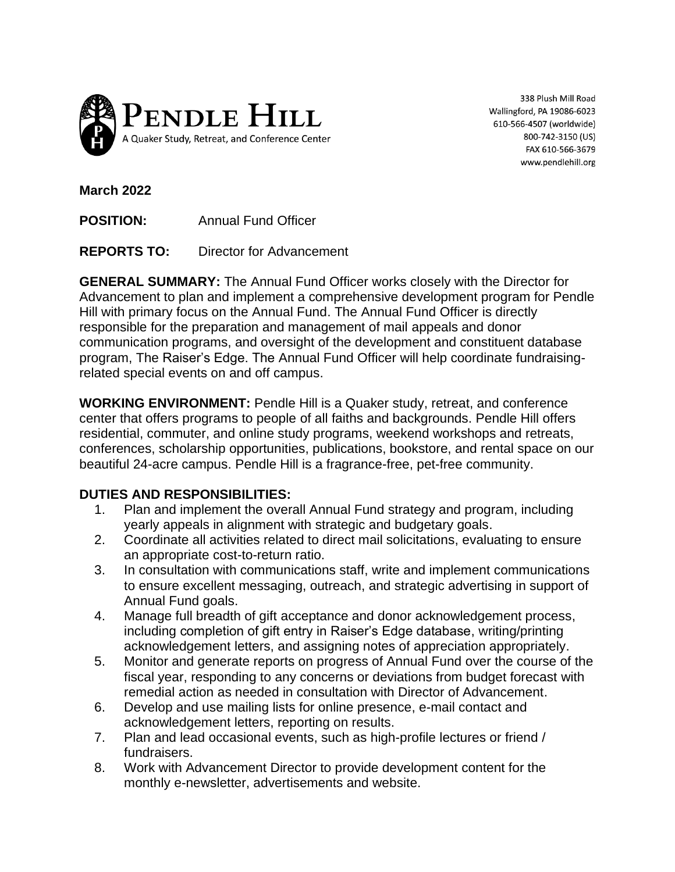

338 Plush Mill Road Wallingford, PA 19086-6023 610-566-4507 (worldwide) 800-742-3150 (US) FAX 610-566-3679 www.pendlehill.org

**March 2022**

**POSITION:** Annual Fund Officer

**REPORTS TO:** Director for Advancement

**GENERAL SUMMARY:** The Annual Fund Officer works closely with the Director for Advancement to plan and implement a comprehensive development program for Pendle Hill with primary focus on the Annual Fund. The Annual Fund Officer is directly responsible for the preparation and management of mail appeals and donor communication programs, and oversight of the development and constituent database program, The Raiser's Edge. The Annual Fund Officer will help coordinate fundraisingrelated special events on and off campus.

**WORKING ENVIRONMENT:** Pendle Hill is a Quaker study, retreat, and conference center that offers programs to people of all faiths and backgrounds. Pendle Hill offers residential, commuter, and online study programs, weekend workshops and retreats, conferences, scholarship opportunities, publications, bookstore, and rental space on our beautiful 24-acre campus. Pendle Hill is a fragrance-free, pet-free community.

## **DUTIES AND RESPONSIBILITIES:**

- 1. Plan and implement the overall Annual Fund strategy and program, including yearly appeals in alignment with strategic and budgetary goals.
- 2. Coordinate all activities related to direct mail solicitations, evaluating to ensure an appropriate cost-to-return ratio.
- 3. In consultation with communications staff, write and implement communications to ensure excellent messaging, outreach, and strategic advertising in support of Annual Fund goals.
- 4. Manage full breadth of gift acceptance and donor acknowledgement process, including completion of gift entry in Raiser's Edge database, writing/printing acknowledgement letters, and assigning notes of appreciation appropriately.
- 5. Monitor and generate reports on progress of Annual Fund over the course of the fiscal year, responding to any concerns or deviations from budget forecast with remedial action as needed in consultation with Director of Advancement.
- 6. Develop and use mailing lists for online presence, e-mail contact and acknowledgement letters, reporting on results.
- 7. Plan and lead occasional events, such as high-profile lectures or friend / fundraisers.
- 8. Work with Advancement Director to provide development content for the monthly e-newsletter, advertisements and website.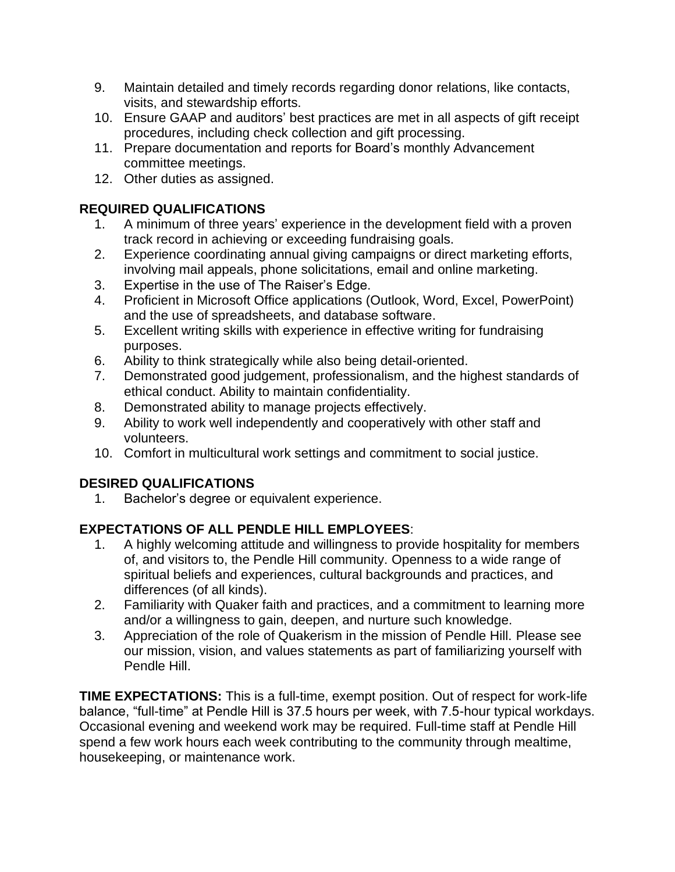- 9. Maintain detailed and timely records regarding donor relations, like contacts, visits, and stewardship efforts.
- 10. Ensure GAAP and auditors' best practices are met in all aspects of gift receipt procedures, including check collection and gift processing.
- 11. Prepare documentation and reports for Board's monthly Advancement committee meetings.
- 12. Other duties as assigned.

## **REQUIRED QUALIFICATIONS**

- 1. A minimum of three years' experience in the development field with a proven track record in achieving or exceeding fundraising goals.
- 2. Experience coordinating annual giving campaigns or direct marketing efforts, involving mail appeals, phone solicitations, email and online marketing.
- 3. Expertise in the use of The Raiser's Edge.
- 4. Proficient in Microsoft Office applications (Outlook, Word, Excel, PowerPoint) and the use of spreadsheets, and database software.
- 5. Excellent writing skills with experience in effective writing for fundraising purposes.
- 6. Ability to think strategically while also being detail-oriented.
- 7. Demonstrated good judgement, professionalism, and the highest standards of ethical conduct. Ability to maintain confidentiality.
- 8. Demonstrated ability to manage projects effectively.
- 9. Ability to work well independently and cooperatively with other staff and volunteers.
- 10. Comfort in multicultural work settings and commitment to social justice.

## **DESIRED QUALIFICATIONS**

1. Bachelor's degree or equivalent experience.

## **EXPECTATIONS OF ALL PENDLE HILL EMPLOYEES**:

- 1. A highly welcoming attitude and willingness to provide hospitality for members of, and visitors to, the Pendle Hill community. Openness to a wide range of spiritual beliefs and experiences, cultural backgrounds and practices, and differences (of all kinds).
- 2. Familiarity with Quaker faith and practices, and a commitment to learning more and/or a willingness to gain, deepen, and nurture such knowledge.
- 3. Appreciation of the role of Quakerism in the mission of Pendle Hill. Please see our mission, vision, and values statements as part of familiarizing yourself with Pendle Hill.

**TIME EXPECTATIONS:** This is a full-time, exempt position. Out of respect for work-life balance, "full-time" at Pendle Hill is 37.5 hours per week, with 7.5-hour typical workdays. Occasional evening and weekend work may be required. Full-time staff at Pendle Hill spend a few work hours each week contributing to the community through mealtime, housekeeping, or maintenance work.